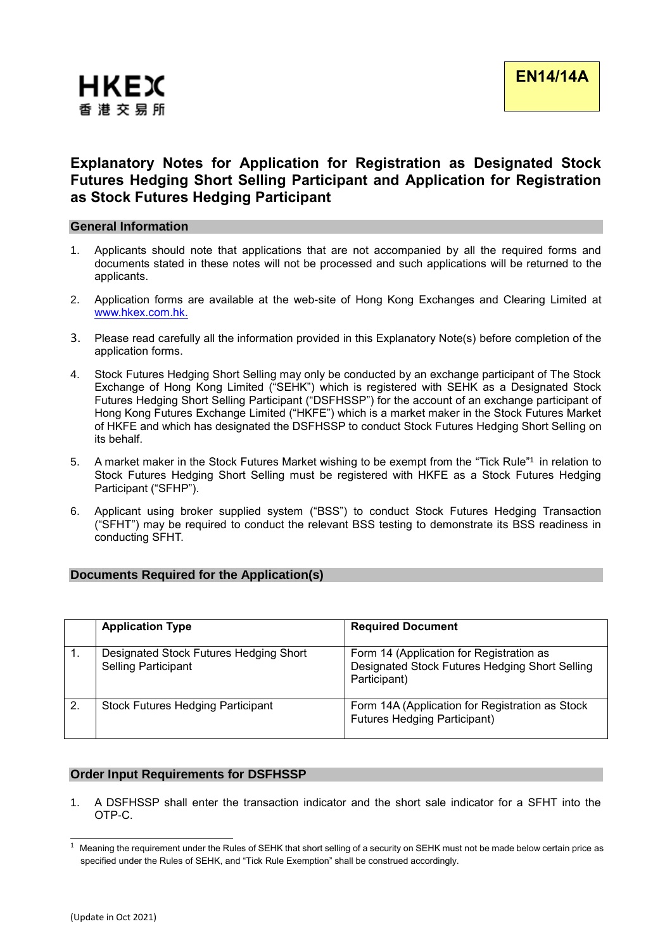

# **Explanatory Notes for Application for Registration as Designated Stock Futures Hedging Short Selling Participant and Application for Registration as Stock Futures Hedging Participant**

#### **General Information**

- 1. Applicants should note that applications that are not accompanied by all the required forms and documents stated in these notes will not be processed and such applications will be returned to the applicants.
- 2. Application forms are available at the web-site of Hong Kong Exchanges and Clearing Limited at [www.hkex.com.hk.](http://www.hkex.com.hk/)
- 3. Please read carefully all the information provided in this Explanatory Note(s) before completion of the application forms.
- 4. Stock Futures Hedging Short Selling may only be conducted by an exchange participant of The Stock Exchange of Hong Kong Limited ("SEHK") which is registered with SEHK as a Designated Stock Futures Hedging Short Selling Participant ("DSFHSSP") for the account of an exchange participant of Hong Kong Futures Exchange Limited ("HKFE") which is a market maker in the Stock Futures Market of HKFE and which has designated the DSFHSSP to conduct Stock Futures Hedging Short Selling on its behalf.
- 5. A market maker in the Stock Futures Market wishing to be exempt from the "Tick Rule" 1 in relation to Stock Futures Hedging Short Selling must be registered with HKFE as a Stock Futures Hedging Participant ("SFHP").
- 6. Applicant using broker supplied system ("BSS") to conduct Stock Futures Hedging Transaction ("SFHT") may be required to conduct the relevant BSS testing to demonstrate its BSS readiness in conducting SFHT.

# **Documents Required for the Application(s)**

|              | <b>Application Type</b>                                              | <b>Required Document</b>                                                                                   |
|--------------|----------------------------------------------------------------------|------------------------------------------------------------------------------------------------------------|
|              | Designated Stock Futures Hedging Short<br><b>Selling Participant</b> | Form 14 (Application for Registration as<br>Designated Stock Futures Hedging Short Selling<br>Participant) |
| $\mathbf{2}$ | Stock Futures Hedging Participant                                    | Form 14A (Application for Registration as Stock<br><b>Futures Hedging Participant)</b>                     |

# **Order Input Requirements for DSFHSSP**

1. A DSFHSSP shall enter the transaction indicator and the short sale indicator for a SFHT into the OTP-C.

 $1$  Meaning the requirement under the Rules of SEHK that short selling of a security on SEHK must not be made below certain price as specified under the Rules of SEHK, and "Tick Rule Exemption" shall be construed accordingly.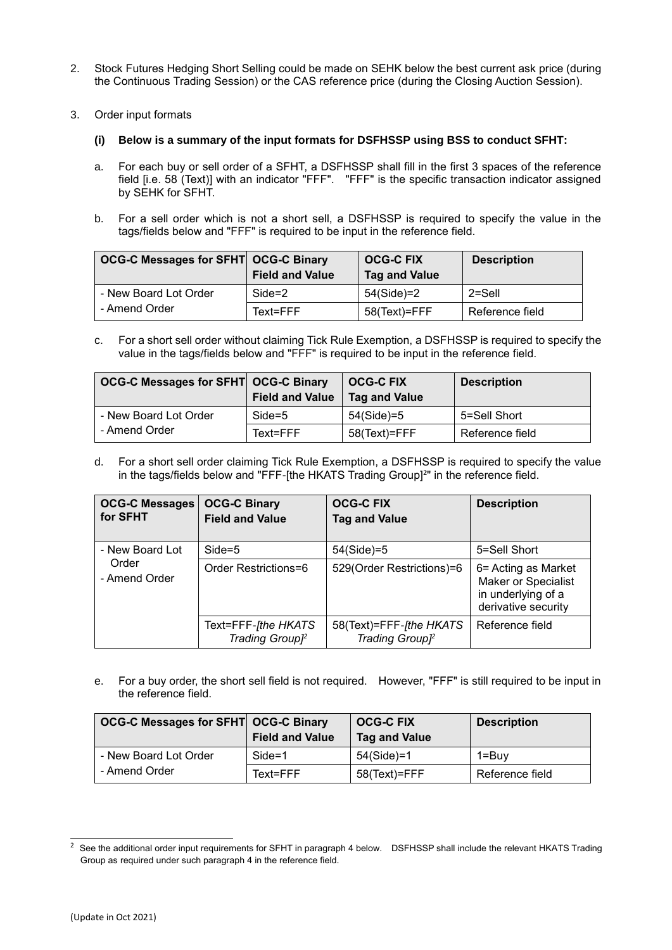- 2. Stock Futures Hedging Short Selling could be made on SEHK below the best current ask price (during the Continuous Trading Session) or the CAS reference price (during the Closing Auction Session).
- 3. Order input formats
	- **(i) Below is a summary of the input formats for DSFHSSP using BSS to conduct SFHT:**
	- a. For each buy or sell order of a SFHT, a DSFHSSP shall fill in the first 3 spaces of the reference field [i.e. 58 (Text)] with an indicator "FFF". "FFF" is the specific transaction indicator assigned by SEHK for SFHT.
	- b. For a sell order which is not a short sell, a DSFHSSP is required to specify the value in the tags/fields below and "FFF" is required to be input in the reference field.

| <b>OCG-C Messages for SFHT OCG-C Binary</b> | <b>Field and Value</b> | <b>OCG-C FIX</b><br><b>Tag and Value</b> | <b>Description</b> |
|---------------------------------------------|------------------------|------------------------------------------|--------------------|
| - New Board Lot Order                       | $Side = 2$             | 54(Side)=2                               | $2 =$ Sell         |
| - Amend Order                               | Text=FFF               | 58(Text)=FFF                             | Reference field    |

c. For a short sell order without claiming Tick Rule Exemption, a DSFHSSP is required to specify the value in the tags/fields below and "FFF" is required to be input in the reference field.

| OCG-C Messages for SFHT OCG-C Binary | <b>Field and Value</b> | <b>OCG-C FIX</b><br>Tag and Value | <b>Description</b> |
|--------------------------------------|------------------------|-----------------------------------|--------------------|
| - New Board Lot Order                | Side=5                 | 54(Side)=5                        | 5=Sell Short       |
| - Amend Order                        | Text=FFF               | 58(Text)=FFF                      | Reference field    |

d. For a short sell order claiming Tick Rule Exemption, a DSFHSSP is required to specify the value in the tags/fields below and "FFF-[the HKATS Trading Group]**<sup>2</sup>** " in the reference field.

| <b>OCG-C Messages</b><br>for SFHT | <b>OCG-C Binary</b><br><b>Field and Value</b>      | <b>OCG-C FIX</b><br><b>Tag and Value</b>               | <b>Description</b>                                                                             |
|-----------------------------------|----------------------------------------------------|--------------------------------------------------------|------------------------------------------------------------------------------------------------|
| - New Board Lot                   | $Side = 5$                                         | 54(Side)=5                                             | 5=Sell Short                                                                                   |
| Order<br>- Amend Order            | Order Restrictions=6                               | 529(Order Restrictions)=6                              | 6= Acting as Market<br><b>Maker or Specialist</b><br>in underlying of a<br>derivative security |
|                                   | Text=FFF-[the HKATS<br>Trading Group <sup>12</sup> | 58(Text)=FFF-[the HKATS<br>Trading Group <sup>12</sup> | Reference field                                                                                |

e. For a buy order, the short sell field is not required. However, "FFF" is still required to be input in the reference field.

| <b>OCG-C Messages for SFHT OCG-C Binary</b> | <b>Field and Value</b> | <b>OCG-C FIX</b><br><b>Tag and Value</b> | <b>Description</b> |
|---------------------------------------------|------------------------|------------------------------------------|--------------------|
| - New Board Lot Order                       | $Side = 1$             | 54(Side)=1                               | $1 = Buv$          |
| - Amend Order                               | Text=FFF               | 58(Text)=FFF                             | Reference field    |

<sup>&</sup>lt;sup>2</sup> See the additional order input requirements for SFHT in paragraph 4 below. DSFHSSP shall include the relevant HKATS Trading Group as required under such paragraph 4 in the reference field.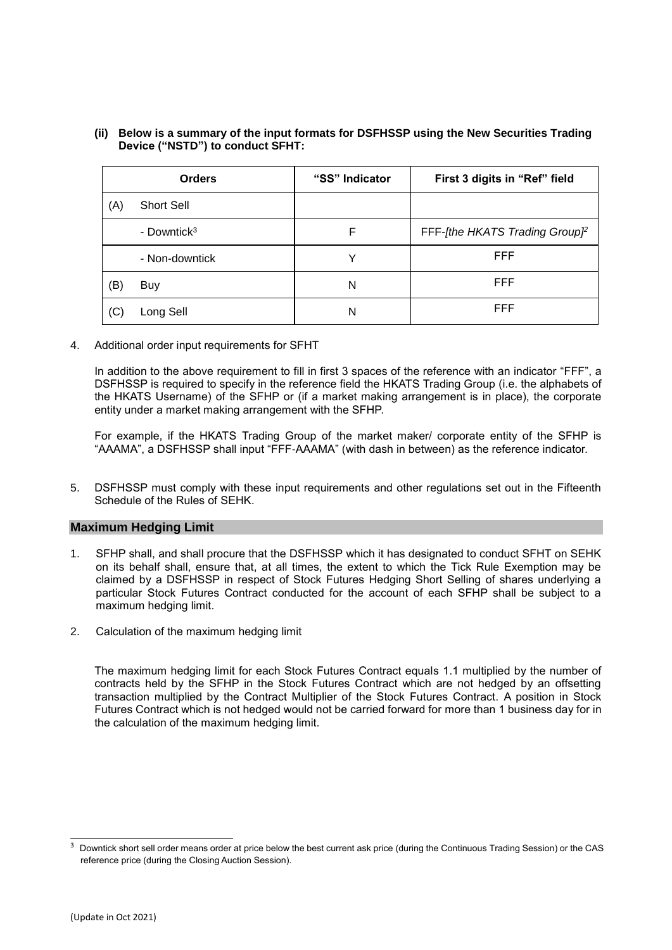#### **(ii) Below is a summary of the input formats for DSFHSSP using the New Securities Trading Device ("NSTD") to conduct SFHT:**

|     | <b>Orders</b>           | "SS" Indicator | First 3 digits in "Ref" field              |
|-----|-------------------------|----------------|--------------------------------------------|
| (A) | <b>Short Sell</b>       |                |                                            |
|     | - Downtick <sup>3</sup> | F              | FFF-[the HKATS Trading Group] <sup>2</sup> |
|     | - Non-downtick          | v              | <b>FFF</b>                                 |
| (B) | <b>Buy</b>              | N              | <b>FFF</b>                                 |
| (C) | Long Sell               | N              | <b>FFF</b>                                 |

4. Additional order input requirements for SFHT

In addition to the above requirement to fill in first 3 spaces of the reference with an indicator "FFF", a DSFHSSP is required to specify in the reference field the HKATS Trading Group (i.e. the alphabets of the HKATS Username) of the SFHP or (if a market making arrangement is in place), the corporate entity under a market making arrangement with the SFHP.

For example, if the HKATS Trading Group of the market maker/ corporate entity of the SFHP is "AAAMA", a DSFHSSP shall input "FFF-AAAMA" (with dash in between) as the reference indicator.

5. DSFHSSP must comply with these input requirements and other regulations set out in the Fifteenth Schedule of the Rules of SEHK.

# **Maximum Hedging Limit**

- 1. SFHP shall, and shall procure that the DSFHSSP which it has designated to conduct SFHT on SEHK on its behalf shall, ensure that, at all times, the extent to which the Tick Rule Exemption may be claimed by a DSFHSSP in respect of Stock Futures Hedging Short Selling of shares underlying a particular Stock Futures Contract conducted for the account of each SFHP shall be subject to a maximum hedging limit.
- 2. Calculation of the maximum hedging limit

The maximum hedging limit for each Stock Futures Contract equals 1.1 multiplied by the number of contracts held by the SFHP in the Stock Futures Contract which are not hedged by an offsetting transaction multiplied by the Contract Multiplier of the Stock Futures Contract. A position in Stock Futures Contract which is not hedged would not be carried forward for more than 1 business day for in the calculation of the maximum hedging limit.

<sup>3</sup> Downtick short sell order means order at price below the best current ask price (during the Continuous Trading Session) or the CAS reference price (during the Closing Auction Session).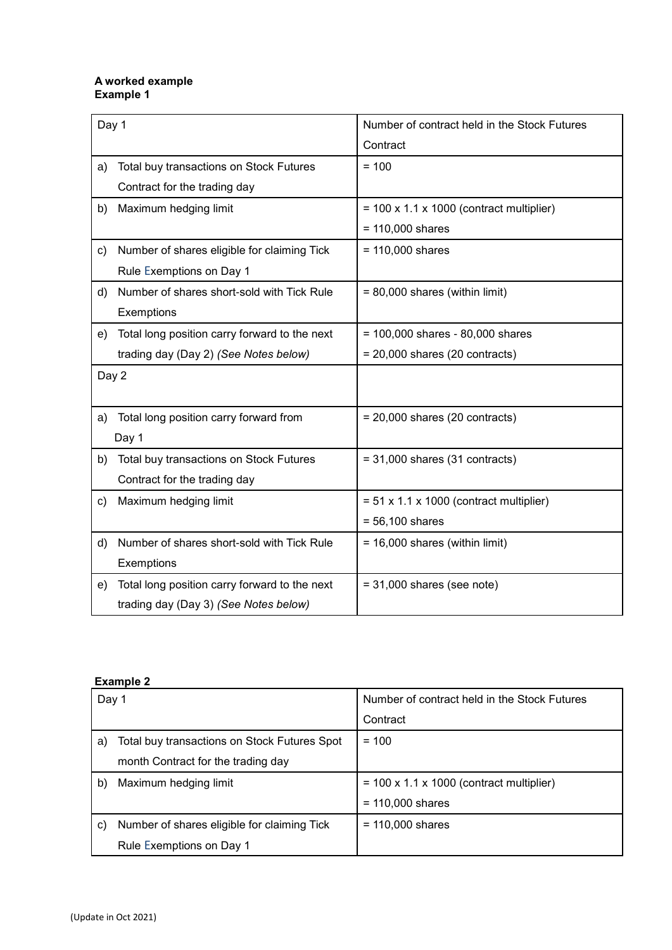#### **A worked example Example 1**

| Day 1 |                                               | Number of contract held in the Stock Futures         |
|-------|-----------------------------------------------|------------------------------------------------------|
|       |                                               | Contract                                             |
| a)    | Total buy transactions on Stock Futures       | $= 100$                                              |
|       | Contract for the trading day                  |                                                      |
| b)    | Maximum hedging limit                         | $= 100 \times 1.1 \times 1000$ (contract multiplier) |
|       |                                               | $= 110,000$ shares                                   |
| C)    | Number of shares eligible for claiming Tick   | $= 110,000$ shares                                   |
|       | Rule Exemptions on Day 1                      |                                                      |
| d)    | Number of shares short-sold with Tick Rule    | $= 80,000$ shares (within limit)                     |
|       | Exemptions                                    |                                                      |
| e)    | Total long position carry forward to the next | $= 100,000$ shares - 80,000 shares                   |
|       | trading day (Day 2) (See Notes below)         | $= 20,000$ shares (20 contracts)                     |
| Day 2 |                                               |                                                      |
|       |                                               |                                                      |
| a)    | Total long position carry forward from        | $= 20,000$ shares (20 contracts)                     |
|       | Day 1                                         |                                                      |
| b)    | Total buy transactions on Stock Futures       | $= 31,000$ shares (31 contracts)                     |
|       | Contract for the trading day                  |                                                      |
| C)    | Maximum hedging limit                         | $= 51 \times 1.1 \times 1000$ (contract multiplier)  |
|       |                                               | $= 56,100$ shares                                    |
| d)    | Number of shares short-sold with Tick Rule    | $= 16,000$ shares (within limit)                     |
|       | Exemptions                                    |                                                      |
| e)    | Total long position carry forward to the next | $= 31,000$ shares (see note)                         |
|       | trading day (Day 3) (See Notes below)         |                                                      |

# **Example 2**

| Day 1        |                                              | Number of contract held in the Stock Futures |  |
|--------------|----------------------------------------------|----------------------------------------------|--|
|              |                                              | Contract                                     |  |
| a)           | Total buy transactions on Stock Futures Spot | $= 100$                                      |  |
|              | month Contract for the trading day           |                                              |  |
| $\mathsf{b}$ | Maximum hedging limit                        | $=$ 100 x 1.1 x 1000 (contract multiplier)   |  |
|              |                                              | $= 110,000$ shares                           |  |
| C)           | Number of shares eligible for claiming Tick  | $= 110,000$ shares                           |  |
|              | Rule Exemptions on Day 1                     |                                              |  |